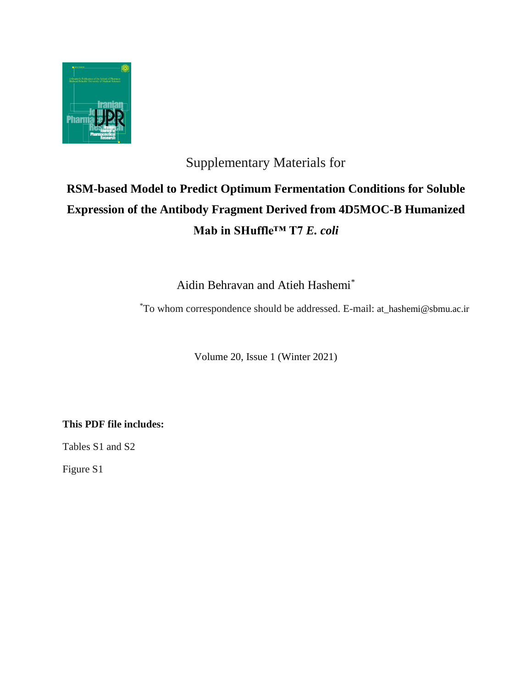

## Supplementary Materials for

## **RSM-based Model to Predict Optimum Fermentation Conditions for Soluble Expression of the Antibody Fragment Derived from 4D5MOC-B Humanized Mab in SHuffle™ T7** *E. coli*

Aidin Behravan and Atieh Hashemi\*

To whom correspondence should be addressed. E-mail: at\_hashemi@sbmu.ac.ir \*

Volume 20, Issue 1 (Winter 2021)

**This PDF file includes:**

Tables S1 and S2

Figure S1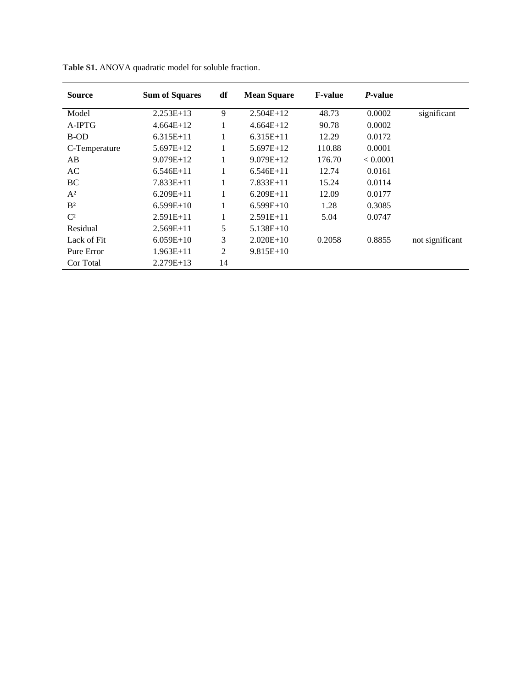| <b>Source</b>  | <b>Sum of Squares</b> | df             | <b>Mean Square</b> | <b>F-value</b> | <i>P</i> -value |                 |
|----------------|-----------------------|----------------|--------------------|----------------|-----------------|-----------------|
| Model          | $2.253E+13$           | 9              | $2.504E+12$        | 48.73          | 0.0002          | significant     |
| A-IPTG         | $4.664E+12$           | 1              | $4.664E+12$        | 90.78          | 0.0002          |                 |
| B-OD           | $6.315E+11$           | 1              | $6.315E+11$        | 12.29          | 0.0172          |                 |
| C-Temperature  | $5.697E+12$           | 1              | $5.697E+12$        | 110.88         | 0.0001          |                 |
| AB             | $9.079E+12$           | 1              | $9.079E+12$        | 176.70         | < 0.0001        |                 |
| AC             | $6.546E+11$           | 1              | $6.546E+11$        | 12.74          | 0.0161          |                 |
| <b>BC</b>      | $7.833E+11$           | 1              | $7.833E+11$        | 15.24          | 0.0114          |                 |
| $A^2$          | $6.209E+11$           | 1              | $6.209E+11$        | 12.09          | 0.0177          |                 |
| B <sup>2</sup> | $6.599E+10$           | 1              | $6.599E+10$        | 1.28           | 0.3085          |                 |
| $C^2$          | $2.591E+11$           | 1              | $2.591E+11$        | 5.04           | 0.0747          |                 |
| Residual       | $2.569E+11$           | 5              | $5.138E+10$        |                |                 |                 |
| Lack of Fit    | $6.059E+10$           | 3              | $2.020E+10$        | 0.2058         | 0.8855          | not significant |
| Pure Error     | $1.963E+11$           | $\overline{2}$ | $9.815E+10$        |                |                 |                 |
| Cor Total      | $2.279E+13$           | 14             |                    |                |                 |                 |

|  |  |  | Table S1. ANOVA quadratic model for soluble fraction. |
|--|--|--|-------------------------------------------------------|
|--|--|--|-------------------------------------------------------|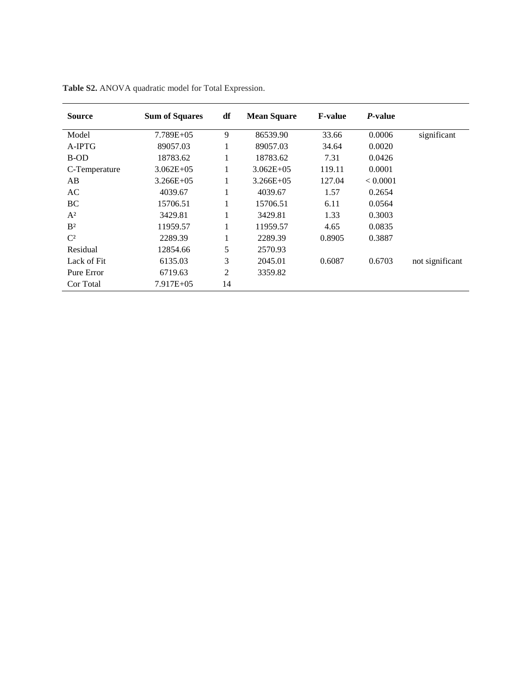| <b>Source</b>  | <b>Sum of Squares</b> | df | <b>Mean Square</b> | <b>F-value</b> | P-value  |                 |
|----------------|-----------------------|----|--------------------|----------------|----------|-----------------|
| Model          | $7.789E + 05$         | 9  | 86539.90           | 33.66          | 0.0006   | significant     |
| $A-IPTG$       | 89057.03              | 1  | 89057.03           | 34.64          | 0.0020   |                 |
| B-OD           | 18783.62              | 1  | 18783.62           | 7.31           | 0.0426   |                 |
| C-Temperature  | $3.062E + 05$         | 1  | $3.062E + 05$      | 119.11         | 0.0001   |                 |
| AB             | $3.266E + 05$         | 1  | $3.266E+05$        | 127.04         | < 0.0001 |                 |
| AC             | 4039.67               | 1  | 4039.67            | 1.57           | 0.2654   |                 |
| BC             | 15706.51              | 1  | 15706.51           | 6.11           | 0.0564   |                 |
| $A^2$          | 3429.81               | 1  | 3429.81            | 1.33           | 0.3003   |                 |
| B <sup>2</sup> | 11959.57              | 1  | 11959.57           | 4.65           | 0.0835   |                 |
| $C^2$          | 2289.39               | 1  | 2289.39            | 0.8905         | 0.3887   |                 |
| Residual       | 12854.66              | 5  | 2570.93            |                |          |                 |
| Lack of Fit    | 6135.03               | 3  | 2045.01            | 0.6087         | 0.6703   | not significant |
| Pure Error     | 6719.63               | 2  | 3359.82            |                |          |                 |
| Cor Total      | 7.917E+05             | 14 |                    |                |          |                 |

|  |  |  |  |  | Table S2. ANOVA quadratic model for Total Expression. |
|--|--|--|--|--|-------------------------------------------------------|
|--|--|--|--|--|-------------------------------------------------------|